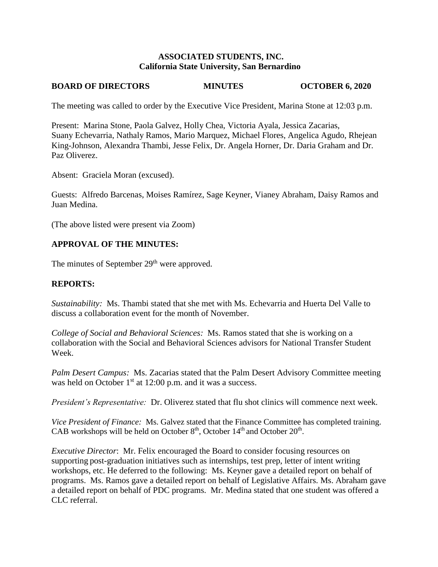### **ASSOCIATED STUDENTS, INC. California State University, San Bernardino**

# **BOARD OF DIRECTORS MINUTES OCTOBER 6, 2020**

The meeting was called to order by the Executive Vice President, Marina Stone at 12:03 p.m.

Present: Marina Stone, Paola Galvez, Holly Chea, Victoria Ayala, Jessica Zacarias, Suany Echevarria, Nathaly Ramos, Mario Marquez, Michael Flores, Angelica Agudo, Rhejean King-Johnson, Alexandra Thambi, Jesse Felix, Dr. Angela Horner, Dr. Daria Graham and Dr. Paz Oliverez.

Absent: Graciela Moran (excused).

Guests: Alfredo Barcenas, Moises Ramírez, Sage Keyner, Vianey Abraham, Daisy Ramos and Juan Medina.

(The above listed were present via Zoom)

## **APPROVAL OF THE MINUTES:**

The minutes of September 29<sup>th</sup> were approved.

### **REPORTS:**

*Sustainability:* Ms. Thambi stated that she met with Ms. Echevarria and Huerta Del Valle to discuss a collaboration event for the month of November.

*College of Social and Behavioral Sciences:* Ms. Ramos stated that she is working on a collaboration with the Social and Behavioral Sciences advisors for National Transfer Student Week.

*Palm Desert Campus:* Ms. Zacarias stated that the Palm Desert Advisory Committee meeting was held on October 1<sup>st</sup> at 12:00 p.m. and it was a success.

*President's Representative:* Dr. Oliverez stated that flu shot clinics will commence next week.

*Vice President of Finance:* Ms. Galvez stated that the Finance Committee has completed training. CAB workshops will be held on October  $8<sup>th</sup>$ , October  $14<sup>th</sup>$  and October  $20<sup>th</sup>$ .

*Executive Director*: Mr. Felix encouraged the Board to consider focusing resources on supporting post-graduation initiatives such as internships, test prep, letter of intent writing workshops, etc. He deferred to the following: Ms. Keyner gave a detailed report on behalf of programs. Ms. Ramos gave a detailed report on behalf of Legislative Affairs. Ms. Abraham gave a detailed report on behalf of PDC programs. Mr. Medina stated that one student was offered a CLC referral.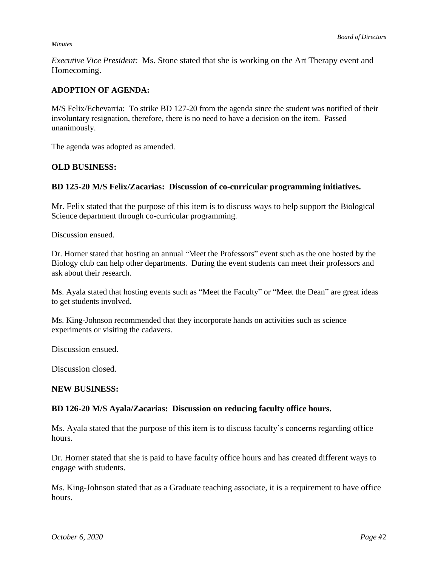#### *Minutes*

*Executive Vice President:* Ms. Stone stated that she is working on the Art Therapy event and Homecoming.

## **ADOPTION OF AGENDA:**

M/S Felix/Echevarria: To strike BD 127-20 from the agenda since the student was notified of their involuntary resignation, therefore, there is no need to have a decision on the item. Passed unanimously.

The agenda was adopted as amended.

### **OLD BUSINESS:**

### **BD 125-20 M/S Felix/Zacarias: Discussion of co-curricular programming initiatives.**

Mr. Felix stated that the purpose of this item is to discuss ways to help support the Biological Science department through co-curricular programming.

Discussion ensued.

Dr. Horner stated that hosting an annual "Meet the Professors" event such as the one hosted by the Biology club can help other departments. During the event students can meet their professors and ask about their research.

Ms. Ayala stated that hosting events such as "Meet the Faculty" or "Meet the Dean" are great ideas to get students involved.

Ms. King-Johnson recommended that they incorporate hands on activities such as science experiments or visiting the cadavers.

Discussion ensued.

Discussion closed.

#### **NEW BUSINESS:**

#### **BD 126-20 M/S Ayala/Zacarias: Discussion on reducing faculty office hours.**

Ms. Ayala stated that the purpose of this item is to discuss faculty's concerns regarding office hours.

Dr. Horner stated that she is paid to have faculty office hours and has created different ways to engage with students.

Ms. King-Johnson stated that as a Graduate teaching associate, it is a requirement to have office hours.